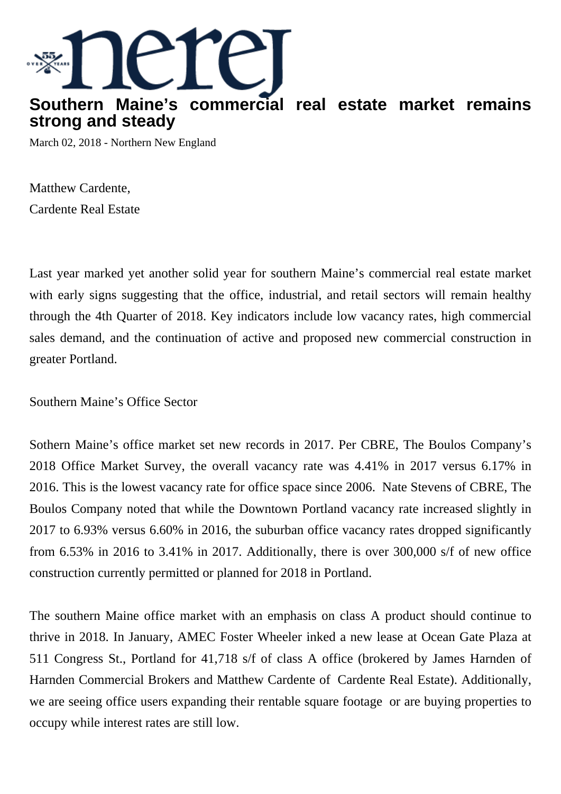

March 02, 2018 - Northern New England

Matthew Cardente, Cardente Real Estate

Last year marked yet another solid year for southern Maine's commercial real estate market with early signs suggesting that the office, industrial, and retail sectors will remain healthy through the 4th Quarter of 2018. Key indicators include low vacancy rates, high commercial sales demand, and the continuation of active and proposed new commercial construction in greater Portland.

Southern Maine's Office Sector

Sothern Maine's office market set new records in 2017. Per CBRE, The Boulos Company's 2018 Office Market Survey, the overall vacancy rate was 4.41% in 2017 versus 6.17% in 2016. This is the lowest vacancy rate for office space since 2006. Nate Stevens of CBRE, The Boulos Company noted that while the Downtown Portland vacancy rate increased slightly in 2017 to 6.93% versus 6.60% in 2016, the suburban office vacancy rates dropped significantly from 6.53% in 2016 to 3.41% in 2017. Additionally, there is over 300,000 s/f of new office construction currently permitted or planned for 2018 in Portland.

The southern Maine office market with an emphasis on class A product should continue to thrive in 2018. In January, AMEC Foster Wheeler inked a new lease at Ocean Gate Plaza at 511 Congress St., Portland for 41,718 s/f of class A office (brokered by James Harnden of Harnden Commercial Brokers and Matthew Cardente of Cardente Real Estate). Additionally, we are seeing office users expanding their rentable square footage or are buying properties to occupy while interest rates are still low.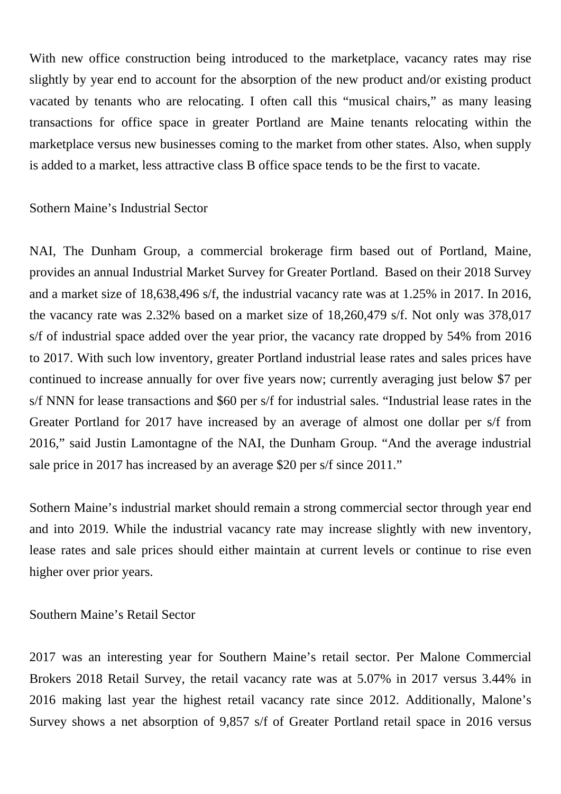With new office construction being introduced to the marketplace, vacancy rates may rise slightly by year end to account for the absorption of the new product and/or existing product vacated by tenants who are relocating. I often call this "musical chairs," as many leasing transactions for office space in greater Portland are Maine tenants relocating within the marketplace versus new businesses coming to the market from other states. Also, when supply is added to a market, less attractive class B office space tends to be the first to vacate.

## Sothern Maine's Industrial Sector

NAI, The Dunham Group, a commercial brokerage firm based out of Portland, Maine, provides an annual Industrial Market Survey for Greater Portland. Based on their 2018 Survey and a market size of 18,638,496 s/f, the industrial vacancy rate was at 1.25% in 2017. In 2016, the vacancy rate was 2.32% based on a market size of 18,260,479 s/f. Not only was 378,017 s/f of industrial space added over the year prior, the vacancy rate dropped by 54% from 2016 to 2017. With such low inventory, greater Portland industrial lease rates and sales prices have continued to increase annually for over five years now; currently averaging just below \$7 per s/f NNN for lease transactions and \$60 per s/f for industrial sales. "Industrial lease rates in the Greater Portland for 2017 have increased by an average of almost one dollar per s/f from 2016," said Justin Lamontagne of the NAI, the Dunham Group. "And the average industrial sale price in 2017 has increased by an average \$20 per s/f since 2011."

Sothern Maine's industrial market should remain a strong commercial sector through year end and into 2019. While the industrial vacancy rate may increase slightly with new inventory, lease rates and sale prices should either maintain at current levels or continue to rise even higher over prior years.

Southern Maine's Retail Sector

2017 was an interesting year for Southern Maine's retail sector. Per Malone Commercial Brokers 2018 Retail Survey, the retail vacancy rate was at 5.07% in 2017 versus 3.44% in 2016 making last year the highest retail vacancy rate since 2012. Additionally, Malone's Survey shows a net absorption of 9,857 s/f of Greater Portland retail space in 2016 versus